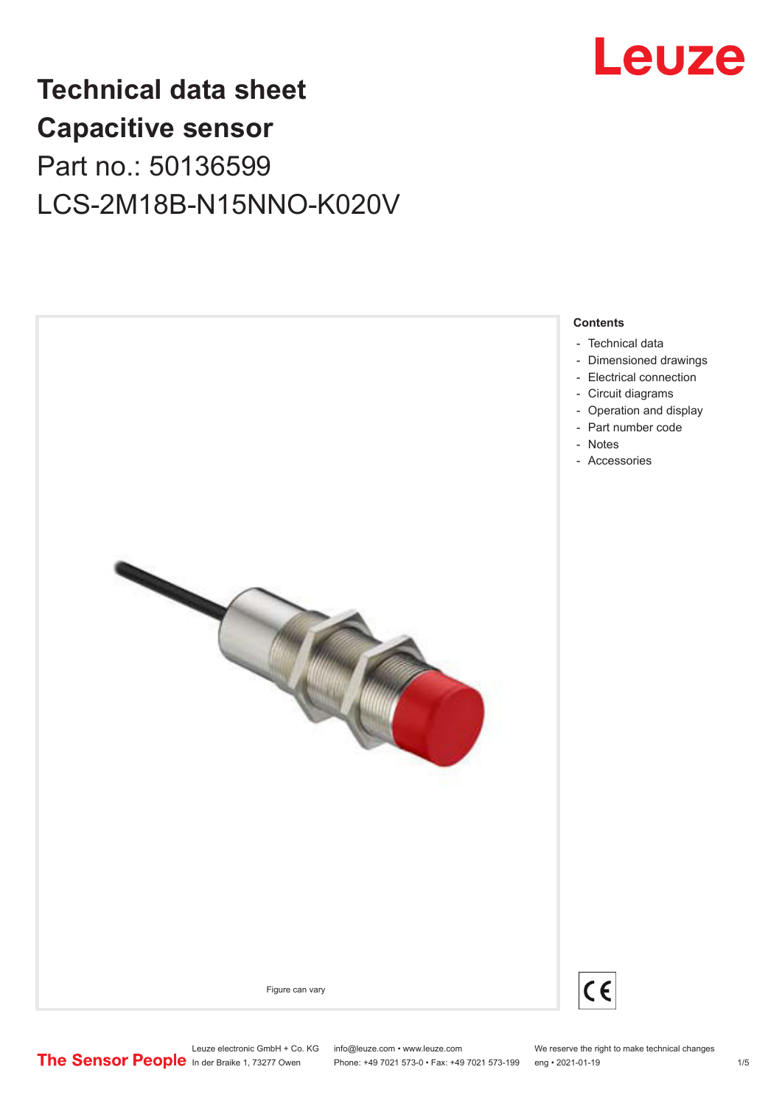

## **Technical data sheet Capacitive sensor** Part no.: 50136599 LCS-2M18B-N15NNO-K020V



Leuze electronic GmbH + Co. KG info@leuze.com • www.leuze.com We reserve the right to make technical changes<br>
The Sensor People in der Braike 1, 73277 Owen Phone: +49 7021 573-0 • Fax: +49 7021 573-199 eng • 2021-01-19

Phone: +49 7021 573-0 • Fax: +49 7021 573-199 eng • 2021-01-19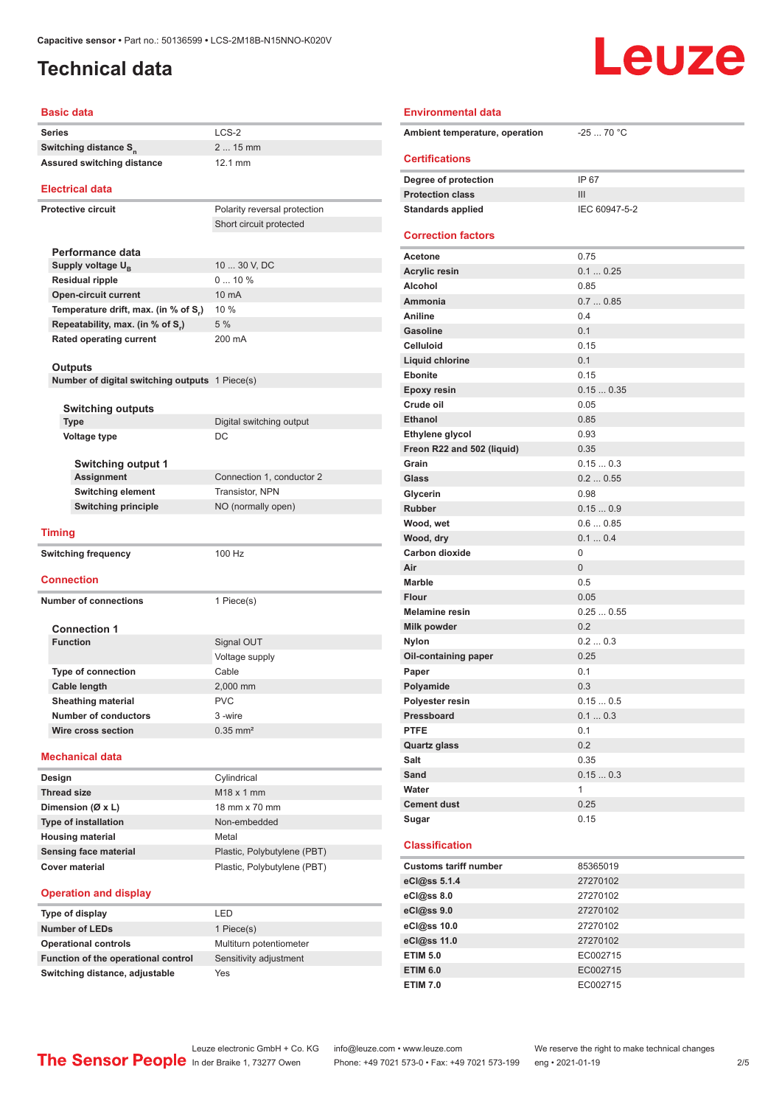## <span id="page-1-0"></span>**Technical data**

# Leuze

#### **Basic data**

|                            | Dasic uaia                        |                              |
|----------------------------|-----------------------------------|------------------------------|
|                            | Series                            | $LCS-2$                      |
|                            | Switching distance S <sub>n</sub> | $215$ mm                     |
| Assured switching distance |                                   | 12.1 mm                      |
|                            | Electrical data                   |                              |
|                            | <b>Protective circuit</b>         | Polarity reversal protection |
|                            |                                   | Short circuit protected      |
|                            |                                   |                              |
|                            | Performance data                  |                              |
|                            | Supply voltage U <sub>n</sub>     | 10  30 V, DC                 |
|                            |                                   | $010\%$                      |
|                            | <b>Residual ripple</b>            |                              |

| and common and and a                 |                 |
|--------------------------------------|-----------------|
| <b>Residual ripple</b>               | $010\%$         |
| <b>Open-circuit current</b>          | $10 \text{ mA}$ |
| Temperature drift, max. (in % of S.) | $10\%$          |
| Repeatability, max. (in % of S.)     | 5%              |
| Rated operating current              | 200 mA          |
|                                      |                 |

#### **Outputs**

|  | Number of digital switching outputs 1 Piece(s) |  |
|--|------------------------------------------------|--|
|  |                                                |  |

| <b>Switching outputs</b>  |                                    |
|---------------------------|------------------------------------|
| <b>Type</b>               | Digital switching output           |
| <b>Voltage type</b>       | DC.                                |
| <b>Switching output 1</b> |                                    |
|                           | $\sim$ $\sim$ $\sim$ $\sim$ $\sim$ |

| Assignment          | Connection 1, conductor 2 |
|---------------------|---------------------------|
| Switching element   | <b>Transistor, NPN</b>    |
| Switching principle | NO (normally open)        |
|                     |                           |

**Switching frequency** 100 Hz

#### **Timing**

| Switching frequency |
|---------------------|

#### **Connection**

**Number of connections** 1 Piece(s)

| <b>Connection 1</b>       |                        |  |
|---------------------------|------------------------|--|
| <b>Function</b>           | Signal OUT             |  |
|                           | Voltage supply         |  |
| <b>Type of connection</b> | Cable                  |  |
| Cable length              | 2,000 mm               |  |
| <b>Sheathing material</b> | PVC                    |  |
| Number of conductors      | 3-wire                 |  |
| Wire cross section        | $0.35$ mm <sup>2</sup> |  |
|                           |                        |  |

#### **Mechanical data**

| Design                      | Cylindrical                 |
|-----------------------------|-----------------------------|
| <b>Thread size</b>          | $M18 \times 1$ mm           |
| Dimension ( $Ø$ x L)        | 18 mm x 70 mm               |
| <b>Type of installation</b> | Non-embedded                |
| <b>Housing material</b>     | Metal                       |
| Sensing face material       | Plastic, Polybutylene (PBT) |
| Cover material              | Plastic, Polybutylene (PBT) |

#### **Operation and display**

| Type of display                     | I FD                    |
|-------------------------------------|-------------------------|
| <b>Number of LEDs</b>               | 1 Piece(s)              |
| <b>Operational controls</b>         | Multiturn potentiometer |
| Function of the operational control | Sensitivity adjustment  |
| Switching distance, adjustable      | Yes                     |

| Ambient temperature, operation | $-2570 °C$    |
|--------------------------------|---------------|
| <b>Certifications</b>          |               |
| Degree of protection           | IP 67         |
| <b>Protection class</b>        | III           |
| <b>Standards applied</b>       | IEC 60947-5-2 |
| <b>Correction factors</b>      |               |
| <b>Acetone</b>                 | 0.75          |
| <b>Acrylic resin</b>           | 0.10.25       |
| Alcohol                        | 0.85          |
| Ammonia                        | 0.70.85       |
| Aniline                        | 0.4           |
| <b>Gasoline</b>                | 0.1           |
| <b>Celluloid</b>               | 0.15          |
| Liquid chlorine                | 0.1           |
| <b>Ebonite</b>                 | 0.15          |
| <b>Epoxy resin</b>             | 0.150.35      |
| Crude oil                      | 0.05          |
| <b>Ethanol</b>                 | 0.85          |
| Ethylene glycol                | 0.93          |
| Freon R22 and 502 (liquid)     | 0.35          |
| Grain                          | 0.150.3       |
| Glass                          | 0.20.55       |
| Glycerin                       | 0.98          |
| <b>Rubber</b>                  | 0.150.9       |
| Wood, wet                      | 0.60.85       |
| Wood, dry                      | 0.10.4        |
| Carbon dioxide                 | 0             |
| Air                            | 0             |
| <b>Marble</b>                  | 0.5           |
| <b>Flour</b>                   | 0.05          |
| <b>Melamine resin</b>          | 0.250.55      |
| Milk powder                    | 0.2           |
| <b>Nylon</b>                   | 0.20.3        |
| Oil-containing paper           | 0.25          |
| Paper                          | 0.1           |
| Polyamide                      | 0.3           |
| Polyester resin                | 0.150.5       |
| Pressboard                     | 0.10.3        |
| <b>PTFE</b>                    | 0.1           |
|                                | 0.2           |
| Quartz glass                   |               |
| Salt                           | 0.35          |
| Sand                           | 0.150.3       |
| Water                          | $\mathbf{1}$  |
| <b>Cement dust</b>             | 0.25          |
| Sugar                          | 0.15          |

#### **Classification**

| <b>Customs tariff number</b> | 85365019 |
|------------------------------|----------|
| eCl@ss 5.1.4                 | 27270102 |
| eC <sub>1</sub> @ss 8.0      | 27270102 |
| eCl@ss 9.0                   | 27270102 |
| eCl@ss 10.0                  | 27270102 |
| eCl@ss 11.0                  | 27270102 |
| <b>ETIM 5.0</b>              | EC002715 |
| <b>ETIM 6.0</b>              | EC002715 |
| <b>ETIM 7.0</b>              | EC002715 |

Leuze electronic GmbH + Co. KG info@leuze.com • www.leuze.com We reserve the right to make technical changes<br> **The Sensor People** in der Braike 1, 73277 Owen Phone: +49 7021 573-0 • Fax: +49 7021 573-199 eng • 2021-01-19

Phone: +49 7021 573-0 • Fax: +49 7021 573-199 eng • 2021-01-19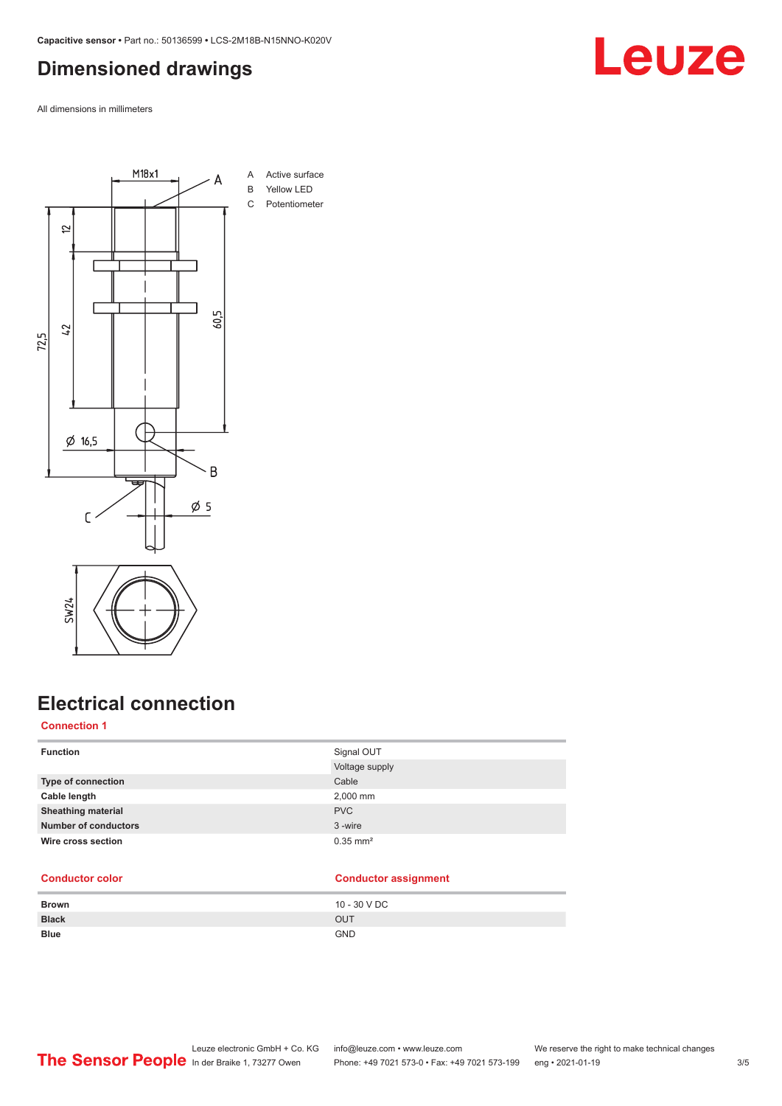## <span id="page-2-0"></span>**Dimensioned drawings**

All dimensions in millimeters



## **Electrical connection**

### **Connection 1**

| <b>Function</b>             | Signal OUT             |
|-----------------------------|------------------------|
|                             | Voltage supply         |
| Type of connection          | Cable                  |
| Cable length                | 2,000 mm               |
| <b>Sheathing material</b>   | <b>PVC</b>             |
| <b>Number of conductors</b> | 3-wire                 |
| Wire cross section          | $0.35$ mm <sup>2</sup> |
|                             |                        |

#### **Conductor color Conductor assignment**

| <b>Brown</b> | 10 - 30 V DC |
|--------------|--------------|
| <b>Black</b> | OUT          |
| <b>Blue</b>  | <b>GND</b>   |

## Leuze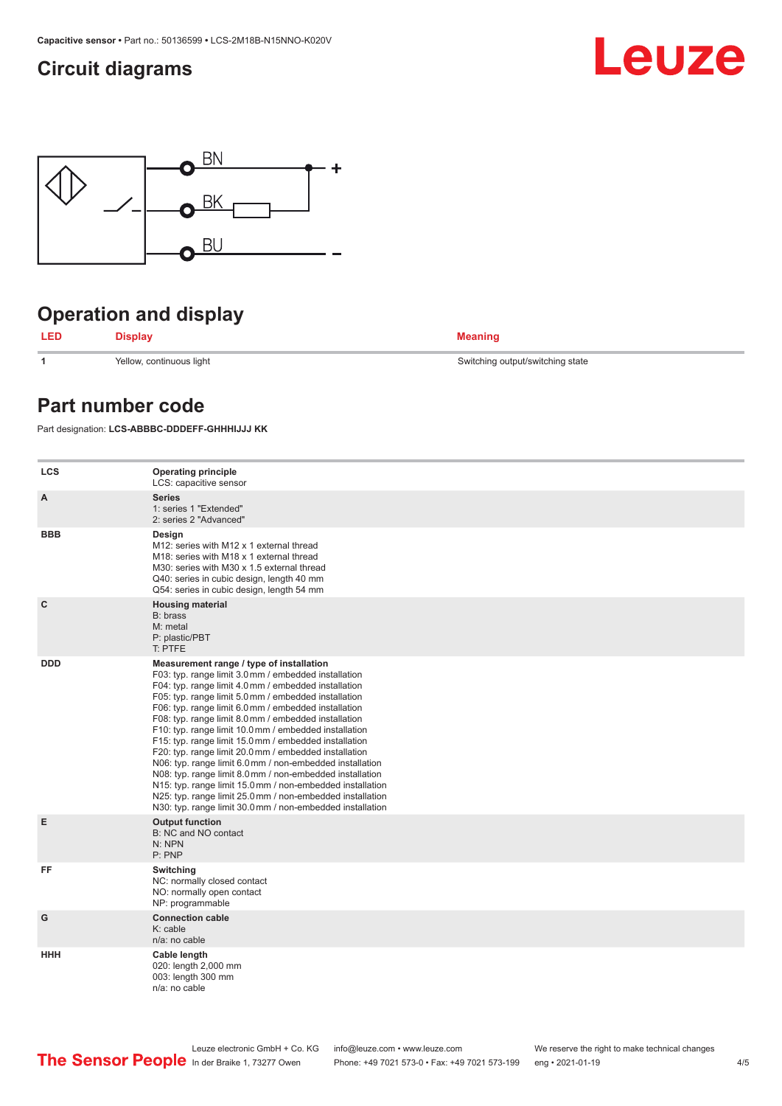## <span id="page-3-0"></span>**Circuit diagrams**





## **Operation and display**



**1** Yellow, continuous light Switching output/switching state

### **Part number code**

Part designation: **LCS-ABBBC-DDDEFF-GHHHIJJJ KK**

| <b>LCS</b>   | <b>Operating principle</b><br>LCS: capacitive sensor                                                                                                                                                                                                                                                                                                                                                                                                                                                                                                                                                                                                                                                                                                                                                                       |
|--------------|----------------------------------------------------------------------------------------------------------------------------------------------------------------------------------------------------------------------------------------------------------------------------------------------------------------------------------------------------------------------------------------------------------------------------------------------------------------------------------------------------------------------------------------------------------------------------------------------------------------------------------------------------------------------------------------------------------------------------------------------------------------------------------------------------------------------------|
| A            | <b>Series</b><br>1: series 1 "Extended"<br>2: series 2 "Advanced"                                                                                                                                                                                                                                                                                                                                                                                                                                                                                                                                                                                                                                                                                                                                                          |
| <b>BBB</b>   | Design<br>M12: series with M12 x 1 external thread<br>M <sub>18</sub> : series with M <sub>18</sub> x 1 external thread<br>M30: series with M30 x 1.5 external thread<br>Q40: series in cubic design, length 40 mm<br>Q54: series in cubic design, length 54 mm                                                                                                                                                                                                                                                                                                                                                                                                                                                                                                                                                            |
| $\mathbf{C}$ | <b>Housing material</b><br>B: brass<br>M: metal<br>P: plastic/PBT<br>T: PTFE                                                                                                                                                                                                                                                                                                                                                                                                                                                                                                                                                                                                                                                                                                                                               |
| <b>DDD</b>   | Measurement range / type of installation<br>F03: typ. range limit 3.0 mm / embedded installation<br>F04: typ. range limit 4.0 mm / embedded installation<br>F05: typ. range limit 5.0 mm / embedded installation<br>F06: typ. range limit 6.0 mm / embedded installation<br>F08: typ. range limit 8.0 mm / embedded installation<br>F10: typ. range limit 10.0 mm / embedded installation<br>F15: typ. range limit 15.0 mm / embedded installation<br>F20: typ. range limit 20.0 mm / embedded installation<br>N06: typ. range limit 6.0 mm / non-embedded installation<br>N08: typ. range limit 8.0 mm / non-embedded installation<br>N15: typ. range limit 15.0 mm / non-embedded installation<br>N25: typ. range limit 25.0 mm / non-embedded installation<br>N30: typ. range limit 30.0 mm / non-embedded installation |
| E            | <b>Output function</b><br>B: NC and NO contact<br>N: NPN<br>P: PNP                                                                                                                                                                                                                                                                                                                                                                                                                                                                                                                                                                                                                                                                                                                                                         |
| FF           | Switching<br>NC: normally closed contact<br>NO: normally open contact<br>NP: programmable                                                                                                                                                                                                                                                                                                                                                                                                                                                                                                                                                                                                                                                                                                                                  |
| G            | <b>Connection cable</b><br>K: cable<br>n/a: no cable                                                                                                                                                                                                                                                                                                                                                                                                                                                                                                                                                                                                                                                                                                                                                                       |
| HHH          | Cable length<br>020: length 2,000 mm<br>003: length 300 mm<br>n/a: no cable                                                                                                                                                                                                                                                                                                                                                                                                                                                                                                                                                                                                                                                                                                                                                |